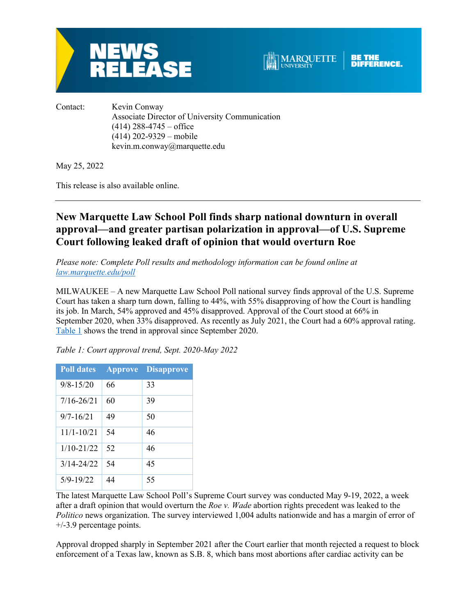



Contact: Kevin Conway Associate Director of University Communication  $(414)$  288-4745 – office (414) 202-9329 – mobile kevin.m.conway@marquette.edu

May 25, 2022

This release is also available online.

# **New Marquette Law School Poll finds sharp national downturn in overall approval—and greater partisan polarization in approval—of U.S. Supreme Court following leaked draft of opinion that would overturn Roe**

*Please note: Complete Poll results and methodology information can be found online at law.marquette.edu/poll*

MILWAUKEE – A new Marquette Law School Poll national survey finds approval of the U.S. Supreme Court has taken a sharp turn down, falling to 44%, with 55% disapproving of how the Court is handling its job. In March, 54% approved and 45% disapproved. Approval of the Court stood at 66% in September 2020, when 33% disapproved. As recently as July 2021, the Court had a 60% approval rating. Table 1 shows the trend in approval since September 2020.

| <b>Poll dates</b> | <b>Approve</b> | <b>Disapprove</b> |
|-------------------|----------------|-------------------|
| $9/8 - 15/20$     | 66             | 33                |
| $7/16 - 26/21$    | 60             | 39                |
| $9/7 - 16/21$     | 49             | 50                |
| $11/1 - 10/21$    | 54             | 46                |
| $1/10 - 21/22$    | 52             | 46                |
| $3/14 - 24/22$    | 54             | 45                |
| $5/9 - 19/22$     | 44             | 55                |

*Table 1: Court approval trend, Sept. 2020-May 2022*

The latest Marquette Law School Poll's Supreme Court survey was conducted May 9-19, 2022, a week after a draft opinion that would overturn the *Roe v. Wade* abortion rights precedent was leaked to the *Politico* news organization. The survey interviewed 1,004 adults nationwide and has a margin of error of +/-3.9 percentage points.

Approval dropped sharply in September 2021 after the Court earlier that month rejected a request to block enforcement of a Texas law, known as S.B. 8, which bans most abortions after cardiac activity can be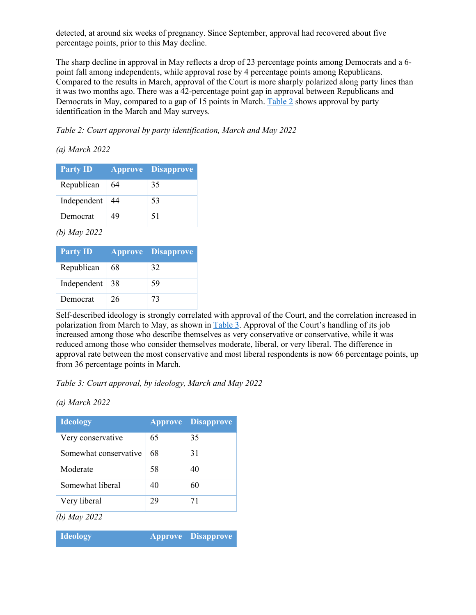detected, at around six weeks of pregnancy. Since September, approval had recovered about five percentage points, prior to this May decline.

The sharp decline in approval in May reflects a drop of 23 percentage points among Democrats and a 6 point fall among independents, while approval rose by 4 percentage points among Republicans. Compared to the results in March, approval of the Court is more sharply polarized along party lines than it was two months ago. There was a 42-percentage point gap in approval between Republicans and Democrats in May, compared to a gap of 15 points in March. Table 2 shows approval by party identification in the March and May surveys.

*Table 2: Court approval by party identification, March and May 2022*

## *(a) March 2022*

| <b>Party ID</b> |    | <b>Approve Disapprove</b> |
|-----------------|----|---------------------------|
| Republican      | 64 | 35                        |
| Independent     | 44 | 53                        |
| Democrat        | 49 | 51                        |

*(b) May 2022*

| <b>Party ID</b> |    | <b>Approve Disapprove</b> |
|-----------------|----|---------------------------|
| Republican      | 68 | 32                        |
| Independent     | 38 | 59                        |
| Democrat        | 26 | 73                        |

Self-described ideology is strongly correlated with approval of the Court, and the correlation increased in polarization from March to May, as shown in Table 3. Approval of the Court's handling of its job increased among those who describe themselves as very conservative or conservative, while it was reduced among those who consider themselves moderate, liberal, or very liberal. The difference in approval rate between the most conservative and most liberal respondents is now 66 percentage points, up from 36 percentage points in March.

*Table 3: Court approval, by ideology, March and May 2022*

*(a) March 2022*

| <b>Ideology</b>       |    | <b>Approve Disapprove</b> |
|-----------------------|----|---------------------------|
| Very conservative     | 65 | 35                        |
| Somewhat conservative | 68 | 31                        |
| Moderate              | 58 | 40                        |
| Somewhat liberal      | 40 | 60                        |
| Very liberal          | 29 | 71                        |

*(b) May 2022*

| <b>Ideology</b> |  | Approve Disapprove |
|-----------------|--|--------------------|
|-----------------|--|--------------------|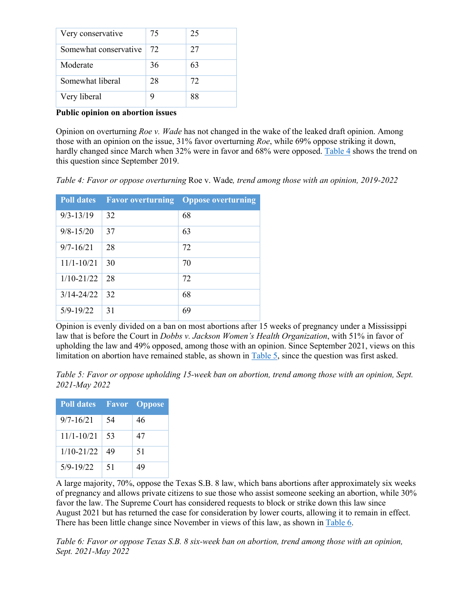| Very conservative     | 75 | 25 |
|-----------------------|----|----|
| Somewhat conservative | 72 | 27 |
| Moderate              | 36 | 63 |
| Somewhat liberal      | 28 | 72 |
| Very liberal          |    | 88 |

#### **Public opinion on abortion issues**

Opinion on overturning *Roe v. Wade* has not changed in the wake of the leaked draft opinion. Among those with an opinion on the issue, 31% favor overturning *Roe*, while 69% oppose striking it down, hardly changed since March when 32% were in favor and 68% were opposed. Table 4 shows the trend on this question since September 2019.

*Table 4: Favor or oppose overturning* Roe v. Wade*, trend among those with an opinion, 2019-2022*

| <b>Poll dates</b> |    | <b>Eavor overturning Oppose overturning</b> |
|-------------------|----|---------------------------------------------|
| $9/3 - 13/19$     | 32 | 68                                          |
| $9/8 - 15/20$     | 37 | 63                                          |
| $9/7 - 16/21$     | 28 | 72                                          |
| $11/1 - 10/21$    | 30 | 70                                          |
| $1/10 - 21/22$    | 28 | 72                                          |
| $3/14 - 24/22$    | 32 | 68                                          |
| $5/9 - 19/22$     | 31 | 69                                          |

Opinion is evenly divided on a ban on most abortions after 15 weeks of pregnancy under a Mississippi law that is before the Court in *Dobbs v. Jackson Women's Health Organization*, with 51% in favor of upholding the law and 49% opposed, among those with an opinion. Since September 2021, views on this limitation on abortion have remained stable, as shown in Table 5, since the question was first asked.

*Table 5: Favor or oppose upholding 15-week ban on abortion, trend among those with an opinion, Sept. 2021-May 2022*

| <b>Poll dates</b> |    | <b>Favor</b> Oppose |
|-------------------|----|---------------------|
| $9/7 - 16/21$     | 54 | 46                  |
| $11/1 - 10/21$    | 53 | 47                  |
| $1/10 - 21/22$    | 49 | 51                  |
| $5/9 - 19/22$     | 51 | 49                  |

A large majority, 70%, oppose the Texas S.B. 8 law, which bans abortions after approximately six weeks of pregnancy and allows private citizens to sue those who assist someone seeking an abortion, while 30% favor the law. The Supreme Court has considered requests to block or strike down this law since August 2021 but has returned the case for consideration by lower courts, allowing it to remain in effect. There has been little change since November in views of this law, as shown in Table 6.

*Table 6: Favor or oppose Texas S.B. 8 six-week ban on abortion, trend among those with an opinion, Sept. 2021-May 2022*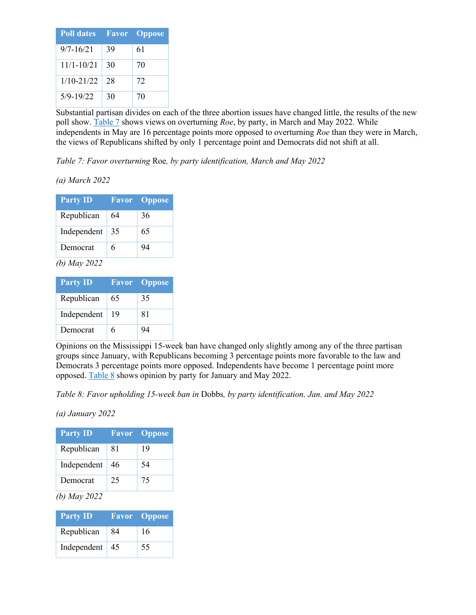| <b>Poll dates</b> |    | <b>Favor</b> Oppose |
|-------------------|----|---------------------|
| $9/7 - 16/21$     | 39 | 61                  |
| $11/1 - 10/21$    | 30 | 70                  |
| $1/10 - 21/22$    | 28 | 72                  |
| $5/9 - 19/22$     | 30 | 70                  |

Substantial partisan divides on each of the three abortion issues have changed little, the results of the new poll show. Table 7 shows views on overturning *Roe*, by party, in March and May 2022. While independents in May are 16 percentage points more opposed to overturning *Roe* than they were in March, the views of Republicans shifted by only 1 percentage point and Democrats did not shift at all.

*Table 7: Favor overturning* Roe*, by party identification, March and May 2022*

*(a) March 2022*

| <b>Party ID</b> |    | <b>Favor</b> Oppose |
|-----------------|----|---------------------|
| Republican      | 64 | 36                  |
| Independent     | 35 | 65                  |
| Democrat        | 6  | 94                  |
| $\sqrt{1}$      |    |                     |

*(b) May 2022*

| <b>Party ID</b> |    | <b>Favor</b> Oppose |
|-----------------|----|---------------------|
| Republican      | 65 | 35                  |
| Independent     | 19 | 81                  |
| Democrat        | 6  | 94                  |

Opinions on the Mississippi 15-week ban have changed only slightly among any of the three partisan groups since January, with Republicans becoming 3 percentage points more favorable to the law and Democrats 3 percentage points more opposed. Independents have become 1 percentage point more opposed. Table 8 shows opinion by party for January and May 2022.

*Table 8: Favor upholding 15-week ban in* Dobbs*, by party identification, Jan. and May 2022*

*(a) January 2022*

| <b>Party ID</b> |    | <b>Favor</b> Oppose |
|-----------------|----|---------------------|
| Republican      | 81 | 19                  |
| Independent     | 46 | 54                  |
| Democrat        | 25 | 75                  |

## *(b) May 2022*

| <b>Party ID</b> |    | <b>Favor</b> Oppose |
|-----------------|----|---------------------|
| Republican      | 84 | 16                  |
| Independent     | 45 | 55                  |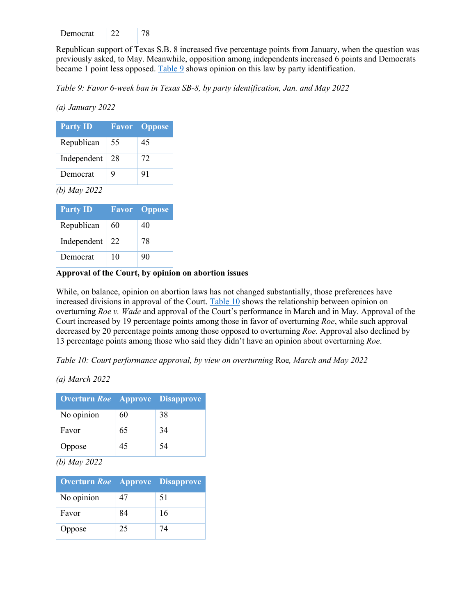| Democrat |  |  |
|----------|--|--|
|----------|--|--|

Republican support of Texas S.B. 8 increased five percentage points from January, when the question was previously asked, to May. Meanwhile, opposition among independents increased 6 points and Democrats became 1 point less opposed. Table 9 shows opinion on this law by party identification.

*Table 9: Favor 6-week ban in Texas SB-8, by party identification, Jan. and May 2022*

*(a) January 2022*

| <b>Party ID</b> |    | <b>Favor Oppose</b> |
|-----------------|----|---------------------|
| Republican      | 55 | 45                  |
| Independent     | 28 | 72                  |
| Democrat        | 9  | 91                  |
| (b) May $2022$  |    |                     |

| <b>Party ID</b> |    | <b>Favor</b> Oppose |
|-----------------|----|---------------------|
| Republican      | 60 | 40                  |
| Independent     | 22 | 78                  |
| Democrat        | 10 | 90                  |

#### **Approval of the Court, by opinion on abortion issues**

While, on balance, opinion on abortion laws has not changed substantially, those preferences have increased divisions in approval of the Court. Table 10 shows the relationship between opinion on overturning *Roe v. Wade* and approval of the Court's performance in March and in May. Approval of the Court increased by 19 percentage points among those in favor of overturning *Roe*, while such approval decreased by 20 percentage points among those opposed to overturning *Roe*. Approval also declined by 13 percentage points among those who said they didn't have an opinion about overturning *Roe*.

*Table 10: Court performance approval, by view on overturning* Roe*, March and May 2022*

*(a) March 2022*

| <b>Overturn Roe</b> Approve Disapprove |    |    |
|----------------------------------------|----|----|
| No opinion                             | 60 | 38 |
| Favor                                  | 65 | 34 |
| Oppose                                 | 45 | 54 |

*(b) May 2022*

| <b>Overturn Roe</b> Approve Disapprove |    |    |
|----------------------------------------|----|----|
| No opinion                             | 47 | 51 |
| Favor                                  | 84 | 16 |
| Oppose                                 | 25 | 74 |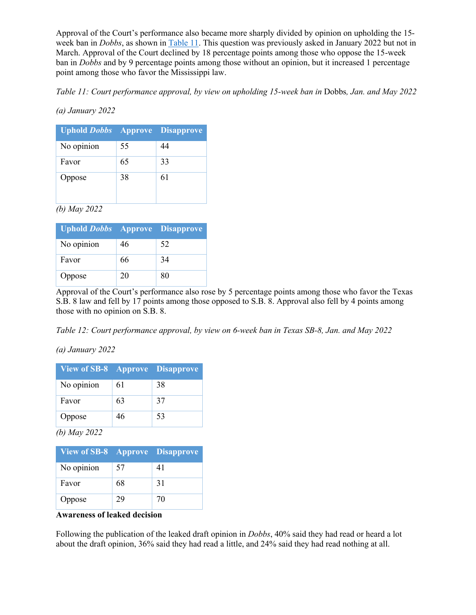Approval of the Court's performance also became more sharply divided by opinion on upholding the 15 week ban in *Dobbs*, as shown in Table 11. This question was previously asked in January 2022 but not in March. Approval of the Court declined by 18 percentage points among those who oppose the 15-week ban in *Dobbs* and by 9 percentage points among those without an opinion, but it increased 1 percentage point among those who favor the Mississippi law.

*Table 11: Court performance approval, by view on upholding 15-week ban in Dobbs, Jan. and May 2022* 

## *(a) January 2022*

| <b>Uphold Dobbs</b> Approve Disapprove |    |    |
|----------------------------------------|----|----|
| No opinion                             | 55 | 44 |
| Favor                                  | 65 | 33 |
| Oppose                                 | 38 | 61 |

*(b) May 2022*

| <b>Uphold Dobbs</b> Approve Disapprove |    |    |
|----------------------------------------|----|----|
| No opinion                             | 46 | 52 |
| Favor                                  | 66 | 34 |
| Oppose                                 | 20 | 80 |

Approval of the Court's performance also rose by 5 percentage points among those who favor the Texas S.B. 8 law and fell by 17 points among those opposed to S.B. 8. Approval also fell by 4 points among those with no opinion on S.B. 8.

*Table 12: Court performance approval, by view on 6-week ban in Texas SB-8, Jan. and May 2022*

*(a) January 2022*

| <b>View of SB-8 Approve Disapprove</b> |    |    |
|----------------------------------------|----|----|
| No opinion                             | 61 | 38 |
| Favor                                  | 63 | 37 |
| Oppose                                 | 46 | 53 |

*(b) May 2022*

| <b>View of SB-8 Approve Disapprove</b> |    |    |
|----------------------------------------|----|----|
| No opinion                             | 57 | 41 |
| Favor                                  | 68 | 31 |
| Oppose                                 | 29 | 70 |

**Awareness of leaked decision**

Following the publication of the leaked draft opinion in *Dobbs*, 40% said they had read or heard a lot about the draft opinion, 36% said they had read a little, and 24% said they had read nothing at all.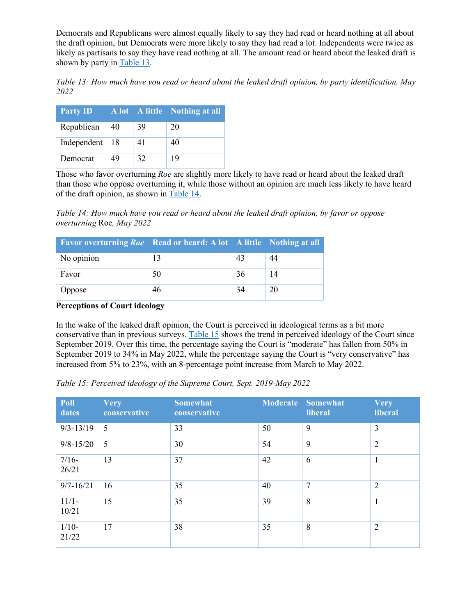Democrats and Republicans were almost equally likely to say they had read or heard nothing at all about the draft opinion, but Democrats were more likely to say they had read a lot. Independents were twice as likely as partisans to say they have read nothing at all. The amount read or heard about the leaked draft is shown by party in Table 13.

*Table 13: How much have you read or heard about the leaked draft opinion, by party identification, May 2022*

| <b>Party ID</b> |     |    | A lot A little Nothing at all |
|-----------------|-----|----|-------------------------------|
| Republican      | 40  | 39 | 20                            |
| Independent     | -18 | 41 | 40                            |
| Democrat        | 49  | 32 | 19                            |

Those who favor overturning *Roe* are slightly more likely to have read or heard about the leaked draft than those who oppose overturning it, while those without an opinion are much less likely to have heard of the draft opinion, as shown in Table 14.

*Table 14: How much have you read or heard about the leaked draft opinion, by favor or oppose overturning* Roe*, May 2022*

| <b>Favor overturning Roe</b> Read or heard: A lot A little Nothing at all |    |    |     |
|---------------------------------------------------------------------------|----|----|-----|
| No opinion                                                                | 13 | 43 | -44 |
| Favor                                                                     | 50 | 36 | 14  |
| Oppose                                                                    | 46 | 34 | 20  |

## **Perceptions of Court ideology**

In the wake of the leaked draft opinion, the Court is perceived in ideological terms as a bit more conservative than in previous surveys. Table 15 shows the trend in perceived ideology of the Court since September 2019. Over this time, the percentage saying the Court is "moderate" has fallen from 50% in September 2019 to 34% in May 2022, while the percentage saying the Court is "very conservative" has increased from 5% to 23%, with an 8-percentage point increase from March to May 2022.

*Table 15: Perceived ideology of the Supreme Court, Sept. 2019-May 2022*

| Poll<br>dates    | <b>Very</b><br>conservative | <b>Somewhat</b><br>conservative |    | <b>Moderate Somewhat</b><br>liberal | <b>Very</b><br>liberal |
|------------------|-----------------------------|---------------------------------|----|-------------------------------------|------------------------|
| $9/3 - 13/19$    | 5                           | 33                              | 50 | 9                                   | $\overline{3}$         |
| $9/8 - 15/20$    | 5                           | 30                              | 54 | 9                                   | $\overline{2}$         |
| $7/16-$<br>26/21 | 13                          | 37                              | 42 | 6                                   | $\mathbf{1}$           |
| $9/7 - 16/21$    | 16                          | 35                              | 40 | $\overline{7}$                      | $\overline{2}$         |
| $11/1-$<br>10/21 | 15                          | 35                              | 39 | 8                                   | 1                      |
| $1/10-$<br>21/22 | 17                          | 38                              | 35 | 8                                   | $\overline{2}$         |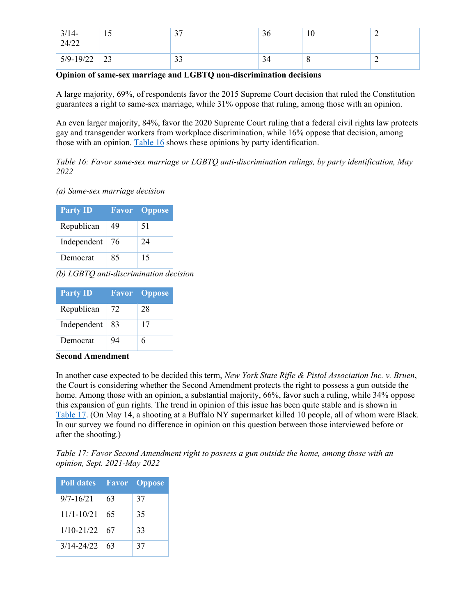| $\frac{3}{14}$ -<br>24/22 |    | $\mathcal{L}$<br>ັ  | 36 | 10               | ∸ |
|---------------------------|----|---------------------|----|------------------|---|
| $5/9 - 19/22$             | 23 | $\mathcal{L}$<br>IJ | 34 | $\mathbf \sigma$ | ∼ |

#### **Opinion of same-sex marriage and LGBTQ non-discrimination decisions**

A large majority, 69%, of respondents favor the 2015 Supreme Court decision that ruled the Constitution guarantees a right to same-sex marriage, while 31% oppose that ruling, among those with an opinion.

An even larger majority, 84%, favor the 2020 Supreme Court ruling that a federal civil rights law protects gay and transgender workers from workplace discrimination, while 16% oppose that decision, among those with an opinion. Table 16 shows these opinions by party identification.

*Table 16: Favor same-sex marriage or LGBTQ anti-discrimination rulings, by party identification, May 2022*

*(a) Same-sex marriage decision*

| <b>Party ID</b> |    | <b>Favor</b> Oppose |
|-----------------|----|---------------------|
| Republican      | 49 | 51                  |
| Independent     | 76 | 24                  |
| Democrat        | 85 | 15                  |

*(b) LGBTQ anti-discrimination decision*

| <b>Party ID</b> |    | <b>Favor</b> Oppose |
|-----------------|----|---------------------|
| Republican      | 72 | 28                  |
| Independent     | 83 | 17                  |
| Democrat        | 94 | 6                   |

## **Second Amendment**

In another case expected to be decided this term, *New York State Rifle & Pistol Association Inc. v. Bruen*, the Court is considering whether the Second Amendment protects the right to possess a gun outside the home. Among those with an opinion, a substantial majority, 66%, favor such a ruling, while 34% oppose this expansion of gun rights. The trend in opinion of this issue has been quite stable and is shown in Table 17. (On May 14, a shooting at a Buffalo NY supermarket killed 10 people, all of whom were Black. In our survey we found no difference in opinion on this question between those interviewed before or after the shooting.)

*Table 17: Favor Second Amendment right to possess a gun outside the home, among those with an opinion, Sept. 2021-May 2022*

| <b>Poll dates</b> |    | <b>Favor</b> Oppose |
|-------------------|----|---------------------|
| $9/7 - 16/21$     | 63 | 37                  |
| 11/1-10/21        | 65 | 35                  |
| $1/10 - 21/22$    | 67 | 33                  |
| $3/14 - 24/22$    | 63 | 37                  |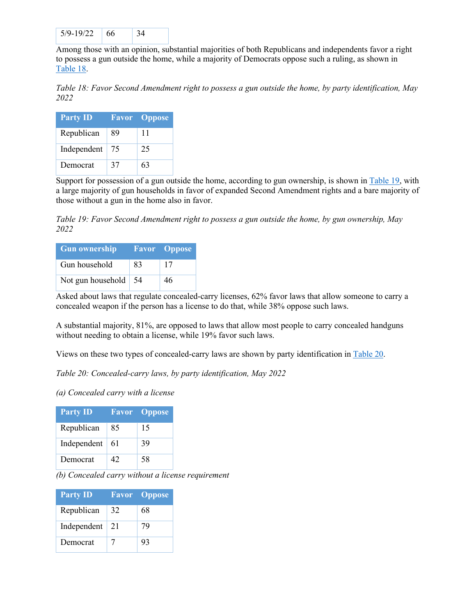| $5/9 - 19/22$ | ٦h |  |
|---------------|----|--|
|               |    |  |

Among those with an opinion, substantial majorities of both Republicans and independents favor a right to possess a gun outside the home, while a majority of Democrats oppose such a ruling, as shown in Table 18.

*Table 18: Favor Second Amendment right to possess a gun outside the home, by party identification, May 2022*

| <b>Party ID</b> |    | <b>Favor</b> Oppose |
|-----------------|----|---------------------|
| Republican      | 89 | 11                  |
| Independent     | 75 | 25                  |
| Democrat        | 37 | 63                  |

Support for possession of a gun outside the home, according to gun ownership, is shown in Table 19, with a large majority of gun households in favor of expanded Second Amendment rights and a bare majority of those without a gun in the home also in favor.

*Table 19: Favor Second Amendment right to possess a gun outside the home, by gun ownership, May 2022*

| <b>Gun ownership</b> |    | <b>Favor</b> Oppose |
|----------------------|----|---------------------|
| Gun household        | 83 | 17                  |
| Not gun household    | 54 | 46                  |

Asked about laws that regulate concealed-carry licenses, 62% favor laws that allow someone to carry a concealed weapon if the person has a license to do that, while 38% oppose such laws.

A substantial majority, 81%, are opposed to laws that allow most people to carry concealed handguns without needing to obtain a license, while 19% favor such laws.

Views on these two types of concealed-carry laws are shown by party identification in Table 20.

*Table 20: Concealed-carry laws, by party identification, May 2022*

*(a) Concealed carry with a license*

| <b>Party ID</b> |    | <b>Favor</b> Oppose |
|-----------------|----|---------------------|
| Republican      | 85 | 15                  |
| Independent     | 61 | 39                  |
| Democrat        | 42 | 58                  |

*(b) Concealed carry without a license requirement*

| <b>Party ID</b> |    | <b>Favor</b> Oppose |
|-----------------|----|---------------------|
| Republican      | 32 | 68                  |
| Independent     | 21 | 79                  |
| Democrat        | 7  | 93                  |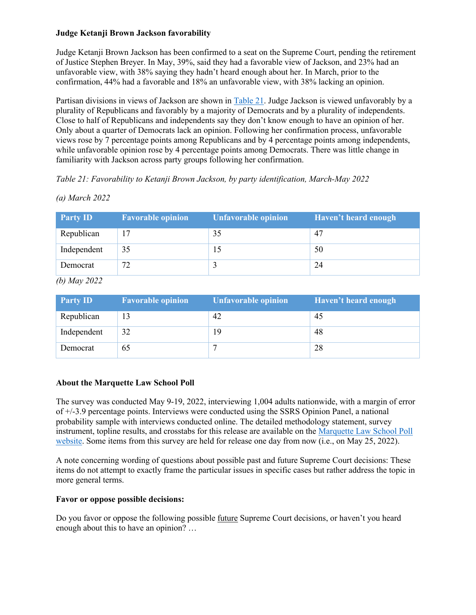#### **Judge Ketanji Brown Jackson favorability**

Judge Ketanji Brown Jackson has been confirmed to a seat on the Supreme Court, pending the retirement of Justice Stephen Breyer. In May, 39%, said they had a favorable view of Jackson, and 23% had an unfavorable view, with 38% saying they hadn't heard enough about her. In March, prior to the confirmation, 44% had a favorable and 18% an unfavorable view, with 38% lacking an opinion.

Partisan divisions in views of Jackson are shown in Table 21. Judge Jackson is viewed unfavorably by a plurality of Republicans and favorably by a majority of Democrats and by a plurality of independents. Close to half of Republicans and independents say they don't know enough to have an opinion of her. Only about a quarter of Democrats lack an opinion. Following her confirmation process, unfavorable views rose by 7 percentage points among Republicans and by 4 percentage points among independents, while unfavorable opinion rose by 4 percentage points among Democrats. There was little change in familiarity with Jackson across party groups following her confirmation.

## *Table 21: Favorability to Ketanji Brown Jackson, by party identification, March-May 2022*

| <b>Party ID</b> | <b>Favorable opinion</b> | <b>Unfavorable opinion</b> | Haven't heard enough |
|-----------------|--------------------------|----------------------------|----------------------|
| Republican      |                          | 35                         | 47                   |
| Independent     | 35                       |                            | 50                   |
| Democrat        | 72                       |                            | 24                   |

*(a) March 2022*

*(b) May 2022*

| <b>Party ID</b> | <b>Favorable opinion</b> | <b>Unfavorable opinion</b> | Haven't heard enough |
|-----------------|--------------------------|----------------------------|----------------------|
| Republican      | 13                       | 42                         | 45                   |
| Independent     | 32                       | 19                         | 48                   |
| Democrat        | 65                       |                            | 28                   |

## **About the Marquette Law School Poll**

The survey was conducted May 9-19, 2022, interviewing 1,004 adults nationwide, with a margin of error of +/-3.9 percentage points. Interviews were conducted using the SSRS Opinion Panel, a national probability sample with interviews conducted online. The detailed methodology statement, survey instrument, topline results, and crosstabs for this release are available on the Marquette Law School Poll website. Some items from this survey are held for release one day from now (i.e., on May 25, 2022).

A note concerning wording of questions about possible past and future Supreme Court decisions: These items do not attempt to exactly frame the particular issues in specific cases but rather address the topic in more general terms.

#### **Favor or oppose possible decisions:**

Do you favor or oppose the following possible future Supreme Court decisions, or haven't you heard enough about this to have an opinion? …